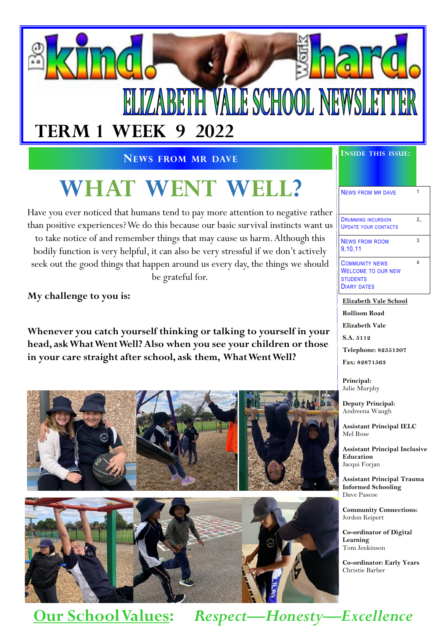

#### **NEWS FROM MR DAVE**

# **WHAT WENT WELL?**

Have you ever noticed that humans tend to pay more attention to negative rather than positive experiences? We do this because our basic survival instincts want us to take notice of and remember things that may cause us harm. Although this bodily function is very helpful, it can also be very stressful if we don't actively seek out the good things that happen around us every day, the things we should be grateful for.

**My challenge to you is:**

**Whenever you catch yourself thinking or talking to yourself in your head, ask What Went Well? Also when you see your children or those in your care straight after school, ask them, What Went Well?**





#### **INSIDE THIS ISSUE:**

### NEWS FROM MR DAVE 1

DRUMMING INCURSION UPDATE YOUR CONTACTS 2,,

3

4

NEWS FROM ROOM 9,10,11

COMMUNITY NEWS WELCOME TO OUR NEW **STUDENTS** DIARY DATES

**Elizabeth Vale School**

**Rollison Road Elizabeth Vale**

**S.A. 5112**

**Telephone: 82551307**

**Fax: 82871563**

**Principal:** Julie Murphy

**Deputy Principal:** Andreena Waugh

**Assistant Principal IELC** Mel Rose

**Assistant Principal Inclusive Education** Jacqui Forjan

**Assistant Principal Trauma Informed Schooling** Dave Pascoe

**Community Connections:** Jordon Keipert

**Co-ordinator of Digital Learning** Tom Jenkinson

**Co-ordinator: Early Years** Christie Barber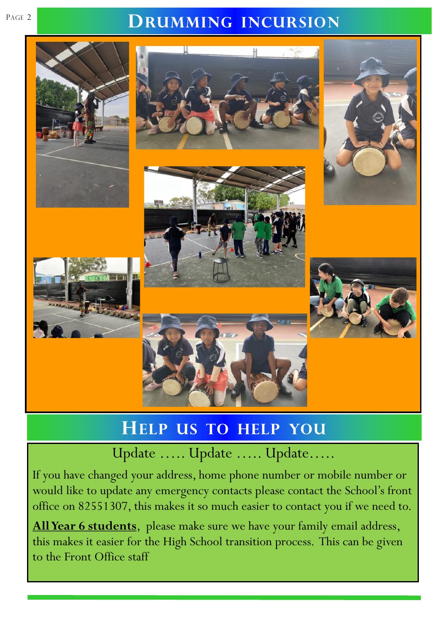## PAGE 2 **DRUMMING INCURSION**



# **HELP US TO HELP YOU**

Update ….. Update ….. Update…..

If you have changed your address, home phone number or mobile number or would like to update any emergency contacts please contact the School's front office on 82551307, this makes it so much easier to contact you if we need to.

**All Year 6 students**, please make sure we have your family email address, this makes it easier for the High School transition process. This can be given to the Front Office staff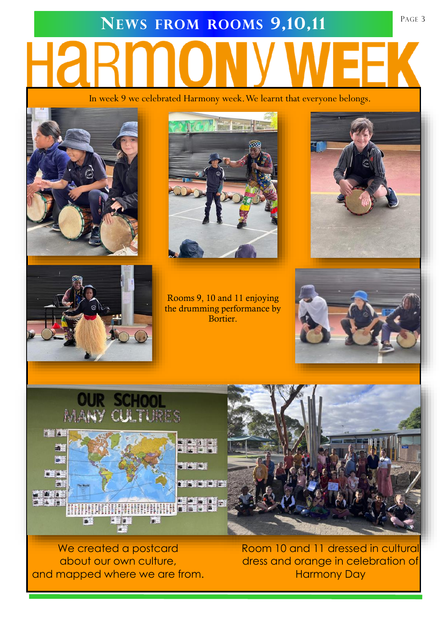# **NEWS FROM ROOMS 9,10,11** PAGE 3

In week 9 we celebrated Harmony week. We learnt that everyone belongs.





Rooms 9, 10 and 11 enjoying the drumming performance by Bortier.









We created a postcard about our own culture, and mapped where we are from.

Room 10 and 11 dressed in cultural dress and orange in celebration of Harmony Day